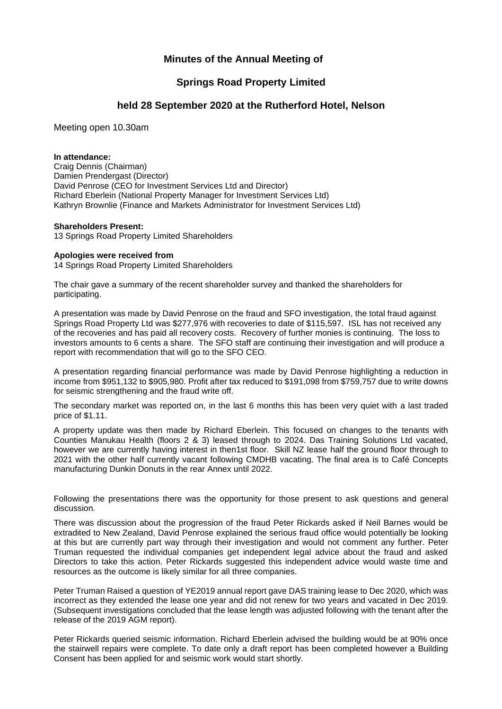## **Minutes of the Annual Meeting of**

## **Springs Road Property Limited**

### **held 28 September 2020 at the Rutherford Hotel, Nelson**

Meeting open 10.30am

#### **In attendance:**

Craig Dennis (Chairman) Damien Prendergast (Director) David Penrose (CEO for Investment Services Ltd and Director) Richard Eberlein (National Property Manager for Investment Services Ltd) Kathryn Brownlie (Finance and Markets Administrator for Investment Services Ltd)

#### **Shareholders Present:**

13 Springs Road Property Limited Shareholders

#### **Apologies were received from**

14 Springs Road Property Limited Shareholders

The chair gave a summary of the recent shareholder survey and thanked the shareholders for participating.

A presentation was made by David Penrose on the fraud and SFO investigation, the total fraud against Springs Road Property Ltd was \$277,976 with recoveries to date of \$115,597. ISL has not received any of the recoveries and has paid all recovery costs. Recovery of further monies is continuing. The loss to investors amounts to 6 cents a share. The SFO staff are continuing their investigation and will produce a report with recommendation that will go to the SFO CEO.

A presentation regarding financial performance was made by David Penrose highlighting a reduction in income from \$951,132 to \$905,980. Profit after tax reduced to \$191,098 from \$759,757 due to write downs for seismic strengthening and the fraud write off.

The secondary market was reported on, in the last 6 months this has been very quiet with a last traded price of \$1.11.

A property update was then made by Richard Eberlein. This focused on changes to the tenants with Counties Manukau Health (floors 2 & 3) leased through to 2024. Das Training Solutions Ltd vacated, however we are currently having interest in then1st floor. Skill NZ lease half the ground floor through to 2021 with the other half currently vacant following CMDHB vacating. The final area is to Café Concepts manufacturing Dunkin Donuts in the rear Annex until 2022.

Following the presentations there was the opportunity for those present to ask questions and general discussion.

There was discussion about the progression of the fraud Peter Rickards asked if Neil Barnes would be extradited to New Zealand, David Penrose explained the serious fraud office would potentially be looking at this but are currently part way through their investigation and would not comment any further. Peter Truman requested the individual companies get independent legal advice about the fraud and asked Directors to take this action. Peter Rickards suggested this independent advice would waste time and resources as the outcome is likely similar for all three companies.

Peter Truman Raised a question of YE2019 annual report gave DAS training lease to Dec 2020, which was incorrect as they extended the lease one year and did not renew for two years and vacated in Dec 2019. (Subsequent investigations concluded that the lease length was adjusted following with the tenant after the release of the 2019 AGM report).

Peter Rickards queried seismic information. Richard Eberlein advised the building would be at 90% once the stairwell repairs were complete. To date only a draft report has been completed however a Building Consent has been applied for and seismic work would start shortly.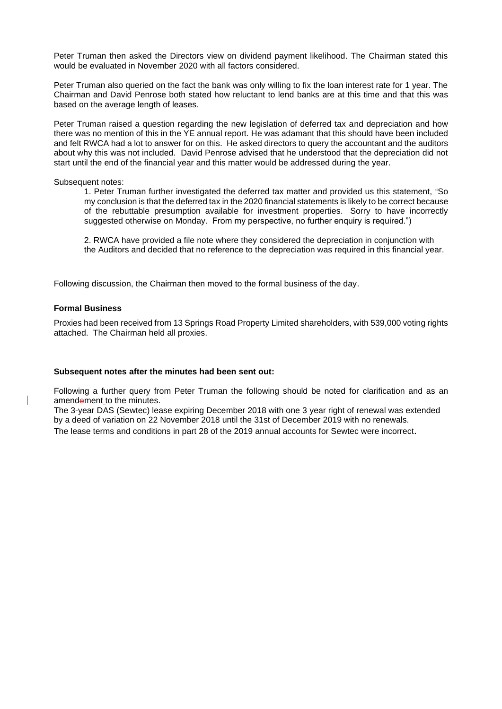Peter Truman then asked the Directors view on dividend payment likelihood. The Chairman stated this would be evaluated in November 2020 with all factors considered.

Peter Truman also queried on the fact the bank was only willing to fix the loan interest rate for 1 year. The Chairman and David Penrose both stated how reluctant to lend banks are at this time and that this was based on the average length of leases.

Peter Truman raised a question regarding the new legislation of deferred tax and depreciation and how there was no mention of this in the YE annual report. He was adamant that this should have been included and felt RWCA had a lot to answer for on this. He asked directors to query the accountant and the auditors about why this was not included. David Penrose advised that he understood that the depreciation did not start until the end of the financial year and this matter would be addressed during the year.

#### Subsequent notes:

1. Peter Truman further investigated the deferred tax matter and provided us this statement, "So my conclusion is that the deferred tax in the 2020 financial statements is likely to be correct because of the rebuttable presumption available for investment properties. Sorry to have incorrectly suggested otherwise on Monday. From my perspective, no further enquiry is required.")

2. RWCA have provided a file note where they considered the depreciation in conjunction with the Auditors and decided that no reference to the depreciation was required in this financial year.

Following discussion, the Chairman then moved to the formal business of the day.

#### **Formal Business**

Proxies had been received from 13 Springs Road Property Limited shareholders, with 539,000 voting rights attached. The Chairman held all proxies.

#### **Subsequent notes after the minutes had been sent out:**

Following a further query from Peter Truman the following should be noted for clarification and as an amendement to the minutes.

The 3-year DAS (Sewtec) lease expiring December 2018 with one 3 year right of renewal was extended by a deed of variation on 22 November 2018 until the 31st of December 2019 with no renewals. The lease terms and conditions in part 28 of the 2019 annual accounts for Sewtec were incorrect.